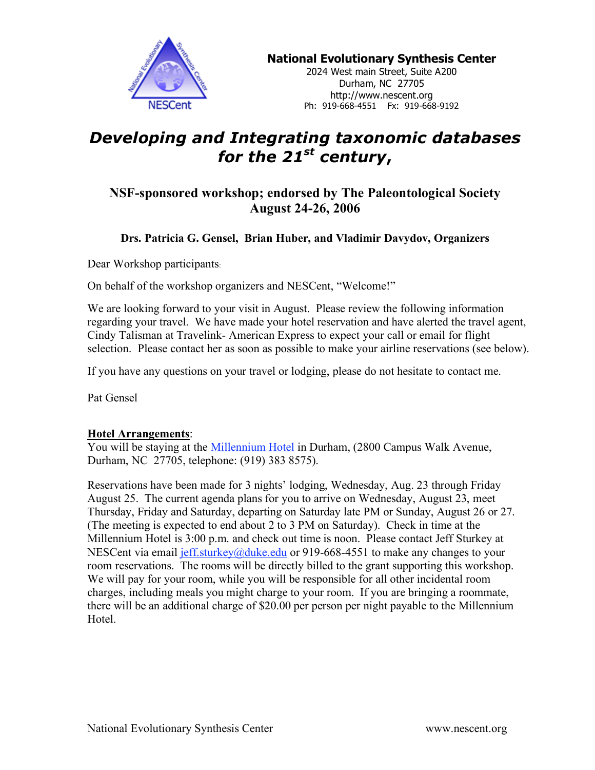

**National Evolutionary Synthesis Center**

2024 West main Street, Suite A200 Durham, NC 27705 http://www.nescent.org Ph: 919-668-4551 Fx: 919-668-9192

# *Developing and Integrating taxonomic databases for the 21st century***,**

# **NSF-sponsored workshop; endorsed by The Paleontological Society August 24-26, 2006**

# **Drs. Patricia G. Gensel, Brian Huber, and Vladimir Davydov, Organizers**

Dear Workshop participants:

On behalf of the workshop organizers and NESCent, "Welcome!"

We are looking forward to your visit in August. Please review the following information regarding your travel. We have made your hotel reservation and have alerted the travel agent, Cindy Talisman at Travelink- American Express to expect your call or email for flight selection. Please contact her as soon as possible to make your airline reservations (see below).

If you have any questions on your travel or lodging, please do not hesitate to contact me.

Pat Gensel

## **Hotel Arrangements**:

You will be staying at the *Millennium Hotel* in Durham, (2800 Campus Walk Avenue, Durham, NC 27705, telephone: (919) 383 8575).

Reservations have been made for 3 nights' lodging, Wednesday, Aug. 23 through Friday August 25. The current agenda plans for you to arrive on Wednesday, August 23, meet Thursday, Friday and Saturday, departing on Saturday late PM or Sunday, August 26 or 27. (The meeting is expected to end about 2 to 3 PM on Saturday). Check in time at the Millennium Hotel is 3:00 p.m. and check out time is noon. Please contact Jeff Sturkey at NESCent via email jeff.sturkey@duke.edu or 919-668-4551 to make any changes to your room reservations. The rooms will be directly billed to the grant supporting this workshop. We will pay for your room, while you will be responsible for all other incidental room charges, including meals you might charge to your room. If you are bringing a roommate, there will be an additional charge of \$20.00 per person per night payable to the Millennium Hotel.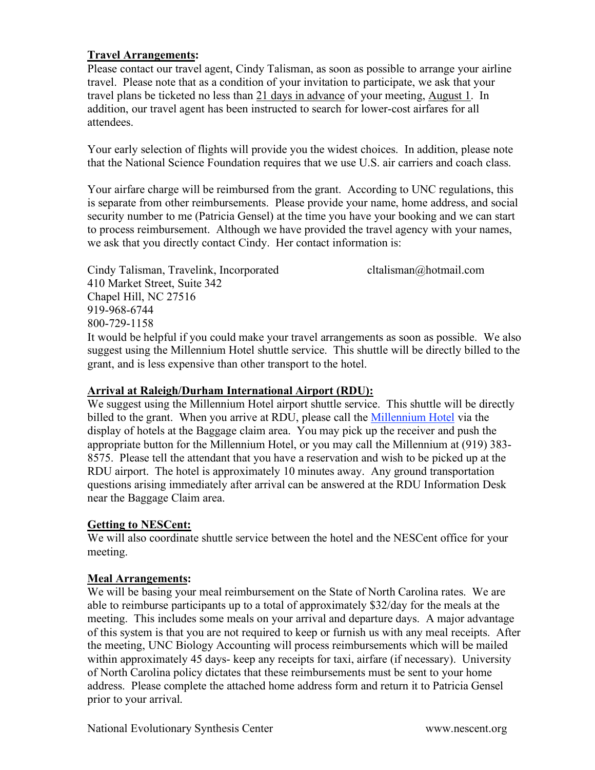## **Travel Arrangements:**

Please contact our travel agent, Cindy Talisman, as soon as possible to arrange your airline travel. Please note that as a condition of your invitation to participate, we ask that your travel plans be ticketed no less than 21 days in advance of your meeting, August 1. In addition, our travel agent has been instructed to search for lower-cost airfares for all attendees.

Your early selection of flights will provide you the widest choices. In addition, please note that the National Science Foundation requires that we use U.S. air carriers and coach class.

Your airfare charge will be reimbursed from the grant. According to UNC regulations, this is separate from other reimbursements. Please provide your name, home address, and social security number to me (Patricia Gensel) at the time you have your booking and we can start to process reimbursement. Although we have provided the travel agency with your names, we ask that you directly contact Cindy. Her contact information is:

Cindy Talisman, Travelink, Incorporated cltalisman@hotmail.com 410 Market Street, Suite 342 Chapel Hill, NC 27516 919-968-6744 800-729-1158 It would be helpful if you could make your travel arrangements as soon as possible. We also suggest using the Millennium Hotel shuttle service. This shuttle will be directly billed to the

## **Arrival at Raleigh/Durham International Airport (RDU):**

grant, and is less expensive than other transport to the hotel.

We suggest using the Millennium Hotel airport shuttle service. This shuttle will be directly billed to the grant. When you arrive at RDU, please call the Millennium Hotel via the display of hotels at the Baggage claim area. You may pick up the receiver and push the appropriate button for the Millennium Hotel, or you may call the Millennium at (919) 383- 8575. Please tell the attendant that you have a reservation and wish to be picked up at the RDU airport. The hotel is approximately 10 minutes away. Any ground transportation questions arising immediately after arrival can be answered at the RDU Information Desk near the Baggage Claim area.

## **Getting to NESCent:**

We will also coordinate shuttle service between the hotel and the NESCent office for your meeting.

## **Meal Arrangements:**

We will be basing your meal reimbursement on the State of North Carolina rates. We are able to reimburse participants up to a total of approximately \$32/day for the meals at the meeting. This includes some meals on your arrival and departure days. A major advantage of this system is that you are not required to keep or furnish us with any meal receipts. After the meeting, UNC Biology Accounting will process reimbursements which will be mailed within approximately 45 days- keep any receipts for taxi, airfare (if necessary). University of North Carolina policy dictates that these reimbursements must be sent to your home address. Please complete the attached home address form and return it to Patricia Gensel prior to your arrival.